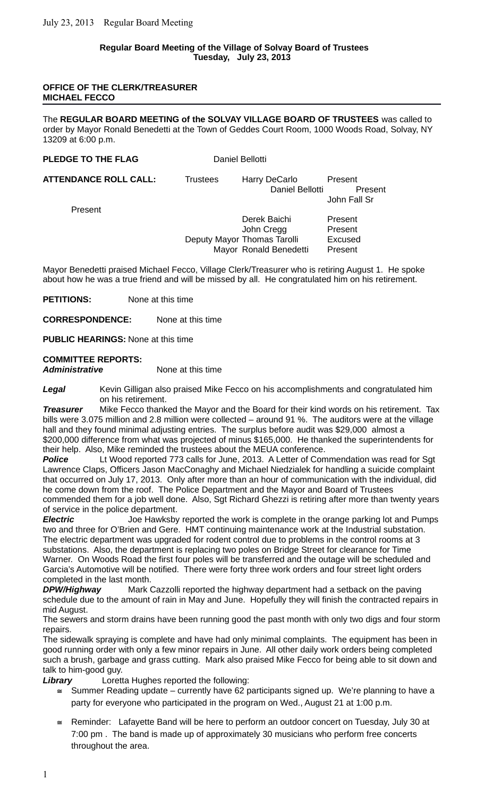### **Regular Board Meeting of the Village of Solvay Board of Trustees Tuesday, July 23, 2013**

#### **OFFICE OF THE CLERK/TREASURER MICHAEL FECCO**

The **REGULAR BOARD MEETING of the SOLVAY VILLAGE BOARD OF TRUSTEES** was called to order by Mayor Ronald Benedetti at the Town of Geddes Court Room, 1000 Woods Road, Solvay, NY 13209 at 6:00 p.m.

#### **PLEDGE TO THE FLAG** Daniel Bellotti

**ATTENDANCE ROLL CALL:** Trustees Harry DeCarlo Present

Daniel Bellotti Present John Fall Sr

Present

Derek Baichi Present John Cregg Present Deputy Mayor Thomas Tarolli Excused Mayor Ronald Benedetti Present

Mayor Benedetti praised Michael Fecco, Village Clerk/Treasurer who is retiring August 1. He spoke about how he was a true friend and will be missed by all. He congratulated him on his retirement.

**PETITIONS:** None at this time

**CORRESPONDENCE:** None at this time

**PUBLIC HEARINGS:** None at this time

# **COMMITTEE REPORTS:**

*Administrative* None at this time

*Legal* Kevin Gilligan also praised Mike Fecco on his accomplishments and congratulated him on his retirement.

*Treasurer* Mike Fecco thanked the Mayor and the Board for their kind words on his retirement. Tax bills were 3.075 million and 2.8 million were collected – around 91 %. The auditors were at the village hall and they found minimal adjusting entries. The surplus before audit was \$29,000 almost a \$200,000 difference from what was projected of minus \$165,000. He thanked the superintendents for their help. Also, Mike reminded the trustees about the MEUA conference.

**Police** Lt Wood reported 773 calls for June, 2013. A Letter of Commendation was read for Sqt Lawrence Claps, Officers Jason MacConaghy and Michael Niedzialek for handling a suicide complaint that occurred on July 17, 2013. Only after more than an hour of communication with the individual, did he come down from the roof. The Police Department and the Mayor and Board of Trustees commended them for a job well done. Also, Sgt Richard Ghezzi is retiring after more than twenty years of service in the police department.

**Electric** Joe Hawksby reported the work is complete in the orange parking lot and Pumps two and three for O'Brien and Gere. HMT continuing maintenance work at the Industrial substation. The electric department was upgraded for rodent control due to problems in the control rooms at 3 substations. Also, the department is replacing two poles on Bridge Street for clearance for Time Warner. On Woods Road the first four poles will be transferred and the outage will be scheduled and Garcia's Automotive will be notified. There were forty three work orders and four street light orders completed in the last month.

*DPW/Highway* Mark Cazzolli reported the highway department had a setback on the paving schedule due to the amount of rain in May and June. Hopefully they will finish the contracted repairs in mid August.

The sewers and storm drains have been running good the past month with only two digs and four storm repairs.

The sidewalk spraying is complete and have had only minimal complaints. The equipment has been in good running order with only a few minor repairs in June. All other daily work orders being completed such a brush, garbage and grass cutting. Mark also praised Mike Fecco for being able to sit down and talk to him-good guy.

*Library* Loretta Hughes reported the following:

- $\leq$  Summer Reading update currently have 62 participants signed up. We're planning to have a party for everyone who participated in the program on Wed., August 21 at 1:00 p.m.
- $\cong$  Reminder: Lafayette Band will be here to perform an outdoor concert on Tuesday, July 30 at 7:00 pm . The band is made up of approximately 30 musicians who perform free concerts throughout the area.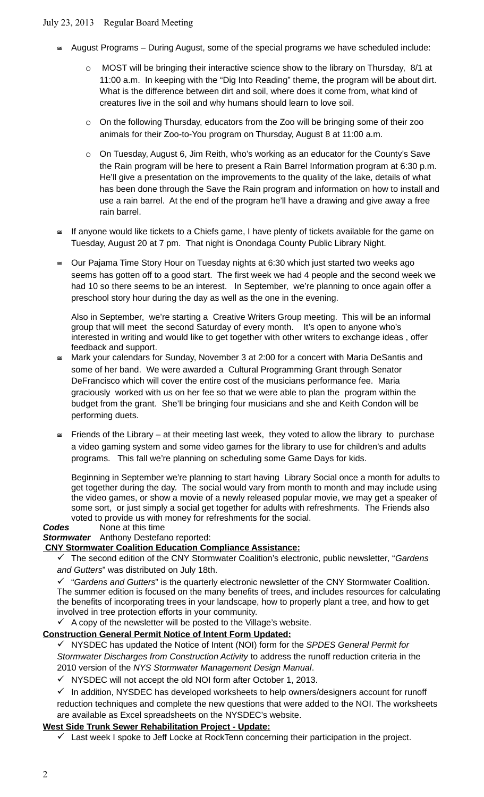# July 23, 2013 Regular Board Meeting

- $\approx$  August Programs During August, some of the special programs we have scheduled include:
	- o MOST will be bringing their interactive science show to the library on Thursday, 8/1 at 11:00 a.m. In keeping with the "Dig Into Reading" theme, the program will be about dirt. What is the difference between dirt and soil, where does it come from, what kind of creatures live in the soil and why humans should learn to love soil.
	- $\circ$  On the following Thursday, educators from the Zoo will be bringing some of their zoo animals for their Zoo-to-You program on Thursday, August 8 at 11:00 a.m.
	- $\circ$  On Tuesday, August 6, Jim Reith, who's working as an educator for the County's Save the Rain program will be here to present a Rain Barrel Information program at 6:30 p.m. He'll give a presentation on the improvements to the quality of the lake, details of what has been done through the Save the Rain program and information on how to install and use a rain barrel. At the end of the program he'll have a drawing and give away a free rain barrel.
- $\epsilon$  If anyone would like tickets to a Chiefs game, I have plenty of tickets available for the game on Tuesday, August 20 at 7 pm. That night is Onondaga County Public Library Night.
- $\approx$  Our Pajama Time Story Hour on Tuesday nights at 6:30 which just started two weeks ago seems has gotten off to a good start. The first week we had 4 people and the second week we had 10 so there seems to be an interest. In September, we're planning to once again offer a preschool story hour during the day as well as the one in the evening.

Also in September, we're starting a Creative Writers Group meeting. This will be an informal group that will meet the second Saturday of every month. It's open to anyone who's interested in writing and would like to get together with other writers to exchange ideas , offer feedback and support.

- $\cong$  Mark your calendars for Sunday, November 3 at 2:00 for a concert with Maria DeSantis and some of her band. We were awarded a Cultural Programming Grant through Senator DeFrancisco which will cover the entire cost of the musicians performance fee. Maria graciously worked with us on her fee so that we were able to plan the program within the budget from the grant. She'll be bringing four musicians and she and Keith Condon will be performing duets.
- $\leq$  Friends of the Library at their meeting last week, they voted to allow the library to purchase a video gaming system and some video games for the library to use for children's and adults programs. This fall we're planning on scheduling some Game Days for kids.

Beginning in September we're planning to start having Library Social once a month for adults to get together during the day. The social would vary from month to month and may include using the video games, or show a movie of a newly released popular movie, we may get a speaker of some sort, or just simply a social get together for adults with refreshments. The Friends also voted to provide us with money for refreshments for the social.

#### *Codes* None at this time

*Stormwater* Anthony Destefano reported:

### **CNY Stormwater Coalition Education Compliance Assistance:**

 The second edition of the CNY Stormwater Coalition's electronic, public newsletter, "*Gardens and Gutters*" was distributed on July 18th.

 "*Gardens and Gutters*" is the quarterly electronic newsletter of the CNY Stormwater Coalition. The summer edition is focused on the many benefits of trees, and includes resources for calculating the benefits of incorporating trees in your landscape, how to properly plant a tree, and how to get involved in tree protection efforts in your community.

 $\checkmark$  A copy of the newsletter will be posted to the Village's website.

# **Construction General Permit Notice of Intent Form Updated:**

 NYSDEC has updated the Notice of Intent (NOI) form for the *SPDES General Permit for Stormwater Discharges from Construction Activity* to address the runoff reduction criteria in the 2010 version of the *NYS Stormwater Management Design Manual*.

 $\checkmark$  NYSDEC will not accept the old NOI form after October 1, 2013.

 $\checkmark$  In addition, NYSDEC has developed worksheets to help owners/designers account for runoff reduction techniques and complete the new questions that were added to the NOI. The worksheets are available as Excel spreadsheets on the NYSDEC's website.

# **West Side Trunk Sewer Rehabilitation Project - Update:**

 $\checkmark$  Last week I spoke to Jeff Locke at RockTenn concerning their participation in the project.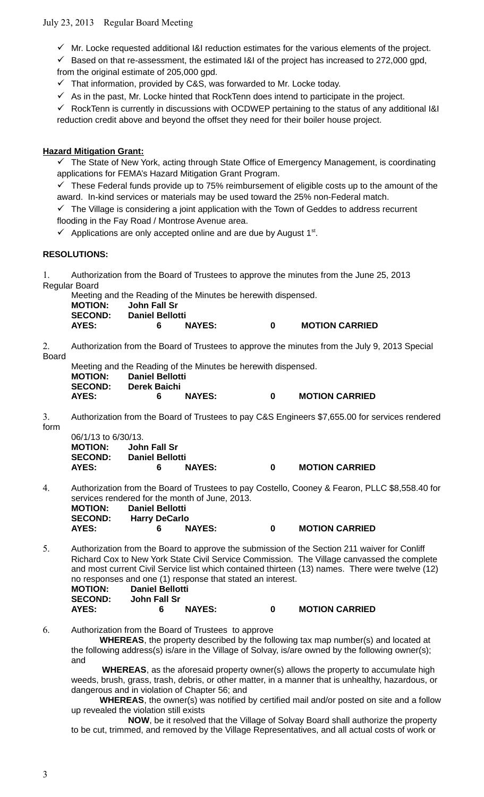# July 23, 2013 Regular Board Meeting

 $\checkmark$  Mr. Locke requested additional I&I reduction estimates for the various elements of the project.

 $\checkmark$  Based on that re-assessment, the estimated I&I of the project has increased to 272,000 gpd,

from the original estimate of 205,000 gpd.

 $\checkmark$  That information, provided by C&S, was forwarded to Mr. Locke today.

 $\checkmark$  As in the past, Mr. Locke hinted that RockTenn does intend to participate in the project.

 $\checkmark$  RockTenn is currently in discussions with OCDWEP pertaining to the status of any additional I&I reduction credit above and beyond the offset they need for their boiler house project.

### **Hazard Mitigation Grant:**

 $\checkmark$  The State of New York, acting through State Office of Emergency Management, is coordinating applications for FEMA's Hazard Mitigation Grant Program.

 $\checkmark$  These Federal funds provide up to 75% reimbursement of eligible costs up to the amount of the award. In-kind services or materials may be used toward the 25% non-Federal match.

 $\checkmark$  The Village is considering a joint application with the Town of Geddes to address recurrent flooding in the Fay Road / Montrose Avenue area.

 $\checkmark$  Applications are only accepted online and are due by August  $1^{st}$ .

#### **RESOLUTIONS:**

1. Authorization from the Board of Trustees to approve the minutes from the June 25, 2013 Regular Board

Meeting and the Reading of the Minutes be herewith dispensed. **MOTION: John Fall Sr SECOND: Daniel Bellotti AYES: 6 NAYES: 0 MOTION CARRIED**

2. Authorization from the Board of Trustees to approve the minutes from the July 9, 2013 Special Board

Meeting and the Reading of the Minutes be herewith dispensed. **MOTION: Daniel Bellotti SECOND: Derek Baichi AYES: 6 NAYES: 0 MOTION CARRIED**

3. Authorization from the Board of Trustees to pay C&S Engineers \$7,655.00 for services rendered form

| 06/1/13 to 6/30/13. |                        |        |   |                       |
|---------------------|------------------------|--------|---|-----------------------|
| <b>MOTION:</b>      | John Fall Sr           |        |   |                       |
| <b>SECOND:</b>      | <b>Daniel Bellotti</b> |        |   |                       |
| AYES:               | 6                      | NAYES: | 0 | <b>MOTION CARRIED</b> |

4. Authorization from the Board of Trustees to pay Costello, Cooney & Fearon, PLLC \$8,558.40 for services rendered for the month of June, 2013.<br>MOTION: Daniel Bellotti **MOTION: Daniel Bellotti** 

| 6. | <b>NAYES:</b> |                      | <b>MOTION CARRIED</b> |
|----|---------------|----------------------|-----------------------|
|    |               | <b>Harry DeCarlo</b> |                       |

5. Authorization from the Board to approve the submission of the Section 211 waiver for Conliff Richard Cox to New York State Civil Service Commission. The Village canvassed the complete and most current Civil Service list which contained thirteen (13) names. There were twelve (12) no responses and one (1) response that stated an interest. **MOTION: Daniel Bellotti SECOND: John Fall Sr**

**AYES: 6 NAYES: 0 MOTION CARRIED**

6. Authorization from the Board of Trustees to approve

**WHEREAS**, the property described by the following tax map number(s) and located at the following address(s) is/are in the Village of Solvay, is/are owned by the following owner(s); and

 **WHEREAS**, as the aforesaid property owner(s) allows the property to accumulate high weeds, brush, grass, trash, debris, or other matter, in a manner that is unhealthy, hazardous, or dangerous and in violation of Chapter 56; and

**WHEREAS**, the owner(s) was notified by certified mail and/or posted on site and a follow up revealed the violation still exists

**NOW**, be it resolved that the Village of Solvay Board shall authorize the property to be cut, trimmed, and removed by the Village Representatives, and all actual costs of work or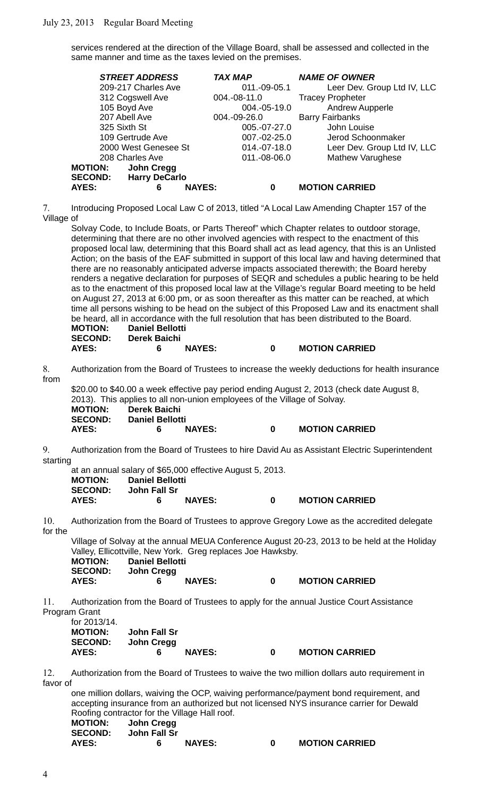services rendered at the direction of the Village Board, shall be assessed and collected in the same manner and time as the taxes levied on the premises.

| <b>STREET ADDRESS</b>                  | <b>TAX MAP</b>     | <b>NAME OF OWNER</b>        |
|----------------------------------------|--------------------|-----------------------------|
| 209-217 Charles Ave                    | 011.-09-05.1       | Leer Dev. Group Ltd IV, LLC |
| 312 Cogswell Ave                       | 004.-08-11.0       | <b>Tracey Propheter</b>     |
| 105 Boyd Ave                           | 004.-05-19.0       | Andrew Aupperle             |
| 207 Abell Ave                          | 004.-09-26.0       | <b>Barry Fairbanks</b>      |
| 325 Sixth St                           | 005.-07-27.0       | John Louise                 |
| 109 Gertrude Ave                       | 007.-02-25.0       | Jerod Schoonmaker           |
| 2000 West Genesee St                   | 014.-07-18.0       | Leer Dev. Group Ltd IV, LLC |
| 208 Charles Ave                        | 011.-08-06.0       | <b>Mathew Varughese</b>     |
| John Cregg<br><b>MOTION:</b>           |                    |                             |
| <b>Harry DeCarlo</b><br><b>SECOND:</b> |                    |                             |
| <b>AYES:</b><br>6                      | <b>NAYES:</b><br>0 | <b>MOTION CARRIED</b>       |

7. Introducing Proposed Local Law C of 2013, titled "A Local Law Amending Chapter 157 of the Village of

Solvay Code, to Include Boats, or Parts Thereof" which Chapter relates to outdoor storage, determining that there are no other involved agencies with respect to the enactment of this proposed local law, determining that this Board shall act as lead agency, that this is an Unlisted Action; on the basis of the EAF submitted in support of this local law and having determined that there are no reasonably anticipated adverse impacts associated therewith; the Board hereby renders a negative declaration for purposes of SEQR and schedules a public hearing to be held as to the enactment of this proposed local law at the Village's regular Board meeting to be held on August 27, 2013 at 6:00 pm, or as soon thereafter as this matter can be reached, at which time all persons wishing to be head on the subject of this Proposed Law and its enactment shall be heard, all in accordance with the full resolution that has been distributed to the Board. **MOTION: Daniel Bellotti SECOND: Derek Baichi**

## **AYES: 6 NAYES: 0 MOTION CARRIED**

8. Authorization from the Board of Trustees to increase the weekly deductions for health insurance from

| \$20.00 to \$40.00 a week effective pay period ending August 2, 2013 (check date August 8, |                        |               |   |                       |  |
|--------------------------------------------------------------------------------------------|------------------------|---------------|---|-----------------------|--|
| 2013). This applies to all non-union employees of the Village of Solvay.                   |                        |               |   |                       |  |
| <b>MOTION:</b><br><b>Derek Baichi</b>                                                      |                        |               |   |                       |  |
| <b>SECOND:</b>                                                                             | <b>Daniel Bellotti</b> |               |   |                       |  |
| AYES:                                                                                      | к.                     | <b>NAYES:</b> | o | <b>MOTION CARRIED</b> |  |

9. Authorization from the Board of Trustees to hire David Au as Assistant Electric Superintendent starting

|                |                        |               | at an annual salary of \$65,000 effective August 5, 2013. |                       |
|----------------|------------------------|---------------|-----------------------------------------------------------|-----------------------|
| <b>MOTION:</b> | <b>Daniel Bellotti</b> |               |                                                           |                       |
| <b>SECOND:</b> | John Fall Sr           |               |                                                           |                       |
| <b>AYES:</b>   | 6.                     | <b>NAYES:</b> | n                                                         | <b>MOTION CARRIED</b> |

10. Authorization from the Board of Trustees to approve Gregory Lowe as the accredited delegate for the

Village of Solvay at the annual MEUA Conference August 20-23, 2013 to be held at the Holiday Valley, Ellicottville, New York. Greg replaces Joe Hawksby.

| <b>MOTION:</b> | <b>Daniel Bellotti</b> |                       |
|----------------|------------------------|-----------------------|
| <b>SECOND:</b> | John Cregg             |                       |
| <b>AYES:</b>   | <b>NAYES:</b>          | <b>MOTION CARRIED</b> |

11. Authorization from the Board of Trustees to apply for the annual Justice Court Assistance Program Grant

| for 2013/14.   |              |               |   |                       |
|----------------|--------------|---------------|---|-----------------------|
| <b>MOTION:</b> | John Fall Sr |               |   |                       |
| <b>SECOND:</b> | John Creaa   |               |   |                       |
| AYES:          | Б            | <b>NAYES:</b> | n | <b>MOTION CARRIED</b> |

12. Authorization from the Board of Trustees to waive the two million dollars auto requirement in favor of

one million dollars, waiving the OCP, waiving performance/payment bond requirement, and accepting insurance from an authorized but not licensed NYS insurance carrier for Dewald Roofing contractor for the Village Hall roof. **MOTION: John Cregg SECOND: John Fall Sr AYES: 6 NAYES: 0 MOTION CARRIED**